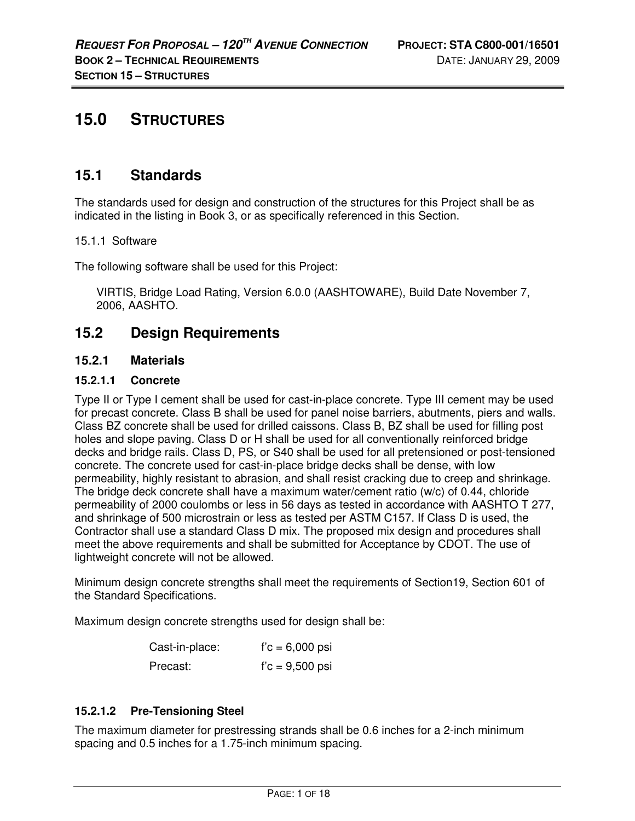# **15.0 STRUCTURES**

## **15.1 Standards**

The standards used for design and construction of the structures for this Project shall be as indicated in the listing in Book 3, or as specifically referenced in this Section.

## 15.1.1 Software

The following software shall be used for this Project:

VIRTIS, Bridge Load Rating, Version 6.0.0 (AASHTOWARE), Build Date November 7, 2006, AASHTO.

## **15.2 Design Requirements**

## **15.2.1 Materials**

#### **15.2.1.1 Concrete**

Type II or Type I cement shall be used for cast-in-place concrete. Type III cement may be used for precast concrete. Class B shall be used for panel noise barriers, abutments, piers and walls. Class BZ concrete shall be used for drilled caissons. Class B, BZ shall be used for filling post holes and slope paving. Class D or H shall be used for all conventionally reinforced bridge decks and bridge rails. Class D, PS, or S40 shall be used for all pretensioned or post-tensioned concrete. The concrete used for cast-in-place bridge decks shall be dense, with low permeability, highly resistant to abrasion, and shall resist cracking due to creep and shrinkage. The bridge deck concrete shall have a maximum water/cement ratio (w/c) of 0.44, chloride permeability of 2000 coulombs or less in 56 days as tested in accordance with AASHTO T 277, and shrinkage of 500 microstrain or less as tested per ASTM C157. If Class D is used, the Contractor shall use a standard Class D mix. The proposed mix design and procedures shall meet the above requirements and shall be submitted for Acceptance by CDOT. The use of lightweight concrete will not be allowed.

Minimum design concrete strengths shall meet the requirements of Section19, Section 601 of the Standard Specifications.

Maximum design concrete strengths used for design shall be:

| Cast-in-place: | $f'c = 6,000$ psi |
|----------------|-------------------|
| Precast:       | $f'c = 9,500$ psi |

## **15.2.1.2 Pre-Tensioning Steel**

The maximum diameter for prestressing strands shall be 0.6 inches for a 2-inch minimum spacing and 0.5 inches for a 1.75-inch minimum spacing.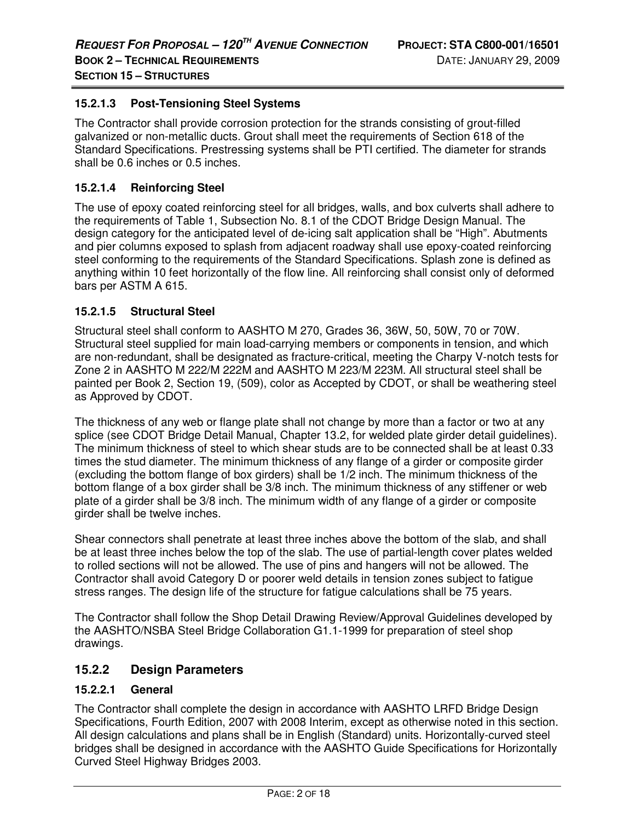#### **15.2.1.3 Post-Tensioning Steel Systems**

The Contractor shall provide corrosion protection for the strands consisting of grout-filled galvanized or non-metallic ducts. Grout shall meet the requirements of Section 618 of the Standard Specifications. Prestressing systems shall be PTI certified. The diameter for strands shall be 0.6 inches or 0.5 inches.

#### **15.2.1.4 Reinforcing Steel**

The use of epoxy coated reinforcing steel for all bridges, walls, and box culverts shall adhere to the requirements of Table 1, Subsection No. 8.1 of the CDOT Bridge Design Manual. The design category for the anticipated level of de-icing salt application shall be "High". Abutments and pier columns exposed to splash from adjacent roadway shall use epoxy-coated reinforcing steel conforming to the requirements of the Standard Specifications. Splash zone is defined as anything within 10 feet horizontally of the flow line. All reinforcing shall consist only of deformed bars per ASTM A 615.

#### **15.2.1.5 Structural Steel**

Structural steel shall conform to AASHTO M 270, Grades 36, 36W, 50, 50W, 70 or 70W. Structural steel supplied for main load-carrying members or components in tension, and which are non-redundant, shall be designated as fracture-critical, meeting the Charpy V-notch tests for Zone 2 in AASHTO M 222/M 222M and AASHTO M 223/M 223M. All structural steel shall be painted per Book 2, Section 19, (509), color as Accepted by CDOT, or shall be weathering steel as Approved by CDOT.

The thickness of any web or flange plate shall not change by more than a factor or two at any splice (see CDOT Bridge Detail Manual, Chapter 13.2, for welded plate girder detail guidelines). The minimum thickness of steel to which shear studs are to be connected shall be at least 0.33 times the stud diameter. The minimum thickness of any flange of a girder or composite girder (excluding the bottom flange of box girders) shall be 1/2 inch. The minimum thickness of the bottom flange of a box girder shall be 3/8 inch. The minimum thickness of any stiffener or web plate of a girder shall be 3/8 inch. The minimum width of any flange of a girder or composite girder shall be twelve inches.

Shear connectors shall penetrate at least three inches above the bottom of the slab, and shall be at least three inches below the top of the slab. The use of partial-length cover plates welded to rolled sections will not be allowed. The use of pins and hangers will not be allowed. The Contractor shall avoid Category D or poorer weld details in tension zones subject to fatigue stress ranges. The design life of the structure for fatigue calculations shall be 75 years.

The Contractor shall follow the Shop Detail Drawing Review/Approval Guidelines developed by the AASHTO/NSBA Steel Bridge Collaboration G1.1-1999 for preparation of steel shop drawings.

#### **15.2.2 Design Parameters**

#### **15.2.2.1 General**

The Contractor shall complete the design in accordance with AASHTO LRFD Bridge Design Specifications, Fourth Edition, 2007 with 2008 Interim, except as otherwise noted in this section. All design calculations and plans shall be in English (Standard) units. Horizontally-curved steel bridges shall be designed in accordance with the AASHTO Guide Specifications for Horizontally Curved Steel Highway Bridges 2003.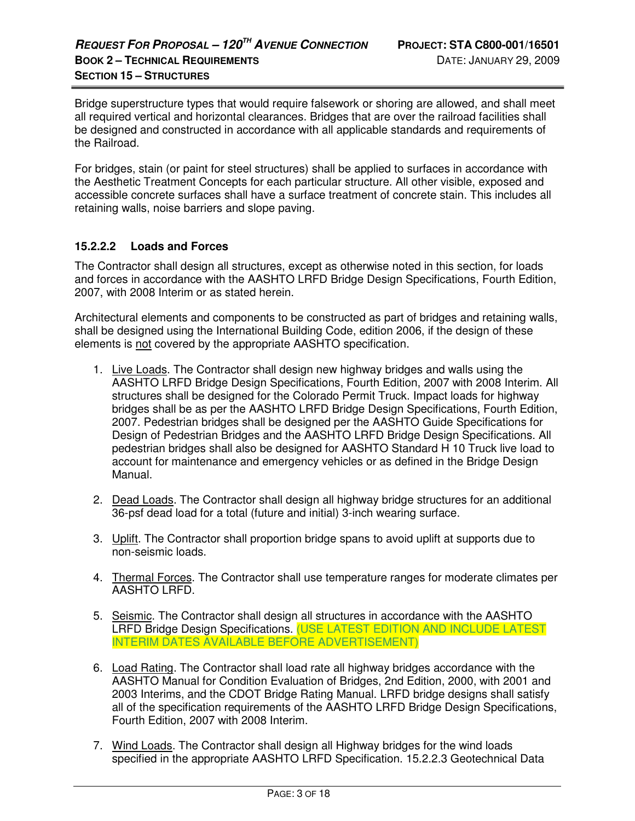Bridge superstructure types that would require falsework or shoring are allowed, and shall meet all required vertical and horizontal clearances. Bridges that are over the railroad facilities shall be designed and constructed in accordance with all applicable standards and requirements of the Railroad.

For bridges, stain (or paint for steel structures) shall be applied to surfaces in accordance with the Aesthetic Treatment Concepts for each particular structure. All other visible, exposed and accessible concrete surfaces shall have a surface treatment of concrete stain. This includes all retaining walls, noise barriers and slope paving.

## **15.2.2.2 Loads and Forces**

The Contractor shall design all structures, except as otherwise noted in this section, for loads and forces in accordance with the AASHTO LRFD Bridge Design Specifications, Fourth Edition, 2007, with 2008 Interim or as stated herein.

Architectural elements and components to be constructed as part of bridges and retaining walls, shall be designed using the International Building Code, edition 2006, if the design of these elements is not covered by the appropriate AASHTO specification.

- 1. Live Loads. The Contractor shall design new highway bridges and walls using the AASHTO LRFD Bridge Design Specifications, Fourth Edition, 2007 with 2008 Interim. All structures shall be designed for the Colorado Permit Truck. Impact loads for highway bridges shall be as per the AASHTO LRFD Bridge Design Specifications, Fourth Edition, 2007. Pedestrian bridges shall be designed per the AASHTO Guide Specifications for Design of Pedestrian Bridges and the AASHTO LRFD Bridge Design Specifications. All pedestrian bridges shall also be designed for AASHTO Standard H 10 Truck live load to account for maintenance and emergency vehicles or as defined in the Bridge Design Manual.
- 2. Dead Loads. The Contractor shall design all highway bridge structures for an additional 36-psf dead load for a total (future and initial) 3-inch wearing surface.
- 3. Uplift. The Contractor shall proportion bridge spans to avoid uplift at supports due to non-seismic loads.
- 4. Thermal Forces. The Contractor shall use temperature ranges for moderate climates per AASHTO LRFD.
- 5. Seismic. The Contractor shall design all structures in accordance with the AASHTO LRFD Bridge Design Specifications. (USE LATEST EDITION AND INCLUDE LATEST INTERIM DATES AVAILABLE BEFORE ADVERTISEMENT)
- 6. Load Rating. The Contractor shall load rate all highway bridges accordance with the AASHTO Manual for Condition Evaluation of Bridges, 2nd Edition, 2000, with 2001 and 2003 Interims, and the CDOT Bridge Rating Manual. LRFD bridge designs shall satisfy all of the specification requirements of the AASHTO LRFD Bridge Design Specifications, Fourth Edition, 2007 with 2008 Interim.
- 7. Wind Loads. The Contractor shall design all Highway bridges for the wind loads specified in the appropriate AASHTO LRFD Specification. 15.2.2.3 Geotechnical Data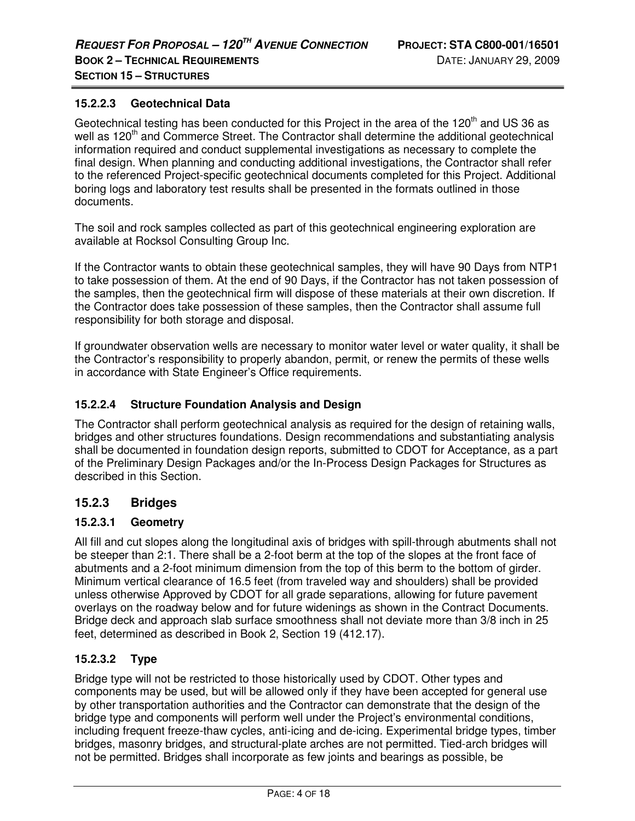#### **15.2.2.3 Geotechnical Data**

Geotechnical testing has been conducted for this Project in the area of the 120<sup>th</sup> and US 36 as well as 120<sup>th</sup> and Commerce Street. The Contractor shall determine the additional geotechnical information required and conduct supplemental investigations as necessary to complete the final design. When planning and conducting additional investigations, the Contractor shall refer to the referenced Project-specific geotechnical documents completed for this Project. Additional boring logs and laboratory test results shall be presented in the formats outlined in those documents.

The soil and rock samples collected as part of this geotechnical engineering exploration are available at Rocksol Consulting Group Inc.

If the Contractor wants to obtain these geotechnical samples, they will have 90 Days from NTP1 to take possession of them. At the end of 90 Days, if the Contractor has not taken possession of the samples, then the geotechnical firm will dispose of these materials at their own discretion. If the Contractor does take possession of these samples, then the Contractor shall assume full responsibility for both storage and disposal.

If groundwater observation wells are necessary to monitor water level or water quality, it shall be the Contractor's responsibility to properly abandon, permit, or renew the permits of these wells in accordance with State Engineer's Office requirements.

### **15.2.2.4 Structure Foundation Analysis and Design**

The Contractor shall perform geotechnical analysis as required for the design of retaining walls, bridges and other structures foundations. Design recommendations and substantiating analysis shall be documented in foundation design reports, submitted to CDOT for Acceptance, as a part of the Preliminary Design Packages and/or the In-Process Design Packages for Structures as described in this Section.

## **15.2.3 Bridges**

#### **15.2.3.1 Geometry**

All fill and cut slopes along the longitudinal axis of bridges with spill-through abutments shall not be steeper than 2:1. There shall be a 2-foot berm at the top of the slopes at the front face of abutments and a 2-foot minimum dimension from the top of this berm to the bottom of girder. Minimum vertical clearance of 16.5 feet (from traveled way and shoulders) shall be provided unless otherwise Approved by CDOT for all grade separations, allowing for future pavement overlays on the roadway below and for future widenings as shown in the Contract Documents. Bridge deck and approach slab surface smoothness shall not deviate more than 3/8 inch in 25 feet, determined as described in Book 2, Section 19 (412.17).

#### **15.2.3.2 Type**

Bridge type will not be restricted to those historically used by CDOT. Other types and components may be used, but will be allowed only if they have been accepted for general use by other transportation authorities and the Contractor can demonstrate that the design of the bridge type and components will perform well under the Project's environmental conditions, including frequent freeze-thaw cycles, anti-icing and de-icing. Experimental bridge types, timber bridges, masonry bridges, and structural-plate arches are not permitted. Tied-arch bridges will not be permitted. Bridges shall incorporate as few joints and bearings as possible, be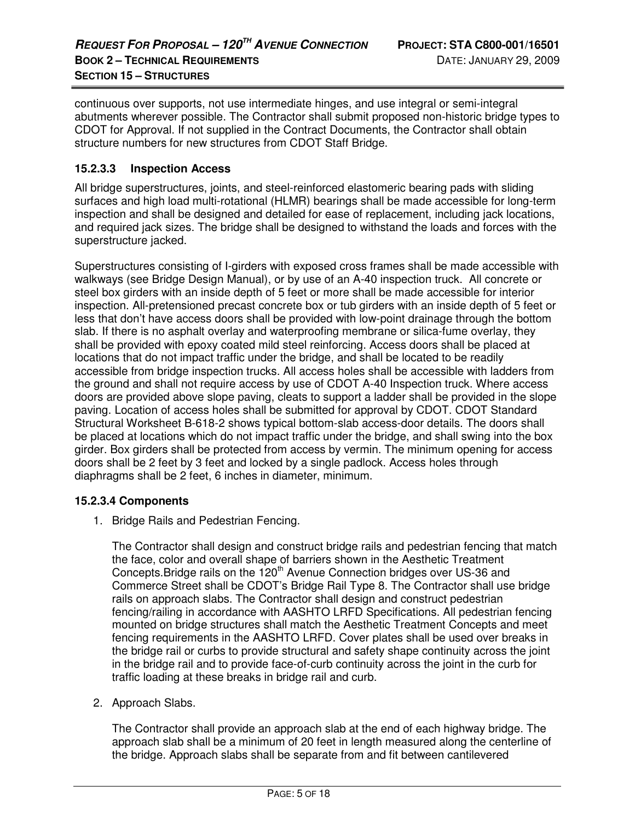continuous over supports, not use intermediate hinges, and use integral or semi-integral abutments wherever possible. The Contractor shall submit proposed non-historic bridge types to CDOT for Approval. If not supplied in the Contract Documents, the Contractor shall obtain structure numbers for new structures from CDOT Staff Bridge.

#### **15.2.3.3 Inspection Access**

All bridge superstructures, joints, and steel-reinforced elastomeric bearing pads with sliding surfaces and high load multi-rotational (HLMR) bearings shall be made accessible for long-term inspection and shall be designed and detailed for ease of replacement, including jack locations, and required jack sizes. The bridge shall be designed to withstand the loads and forces with the superstructure jacked.

Superstructures consisting of I-girders with exposed cross frames shall be made accessible with walkways (see Bridge Design Manual), or by use of an A-40 inspection truck. All concrete or steel box girders with an inside depth of 5 feet or more shall be made accessible for interior inspection. All-pretensioned precast concrete box or tub girders with an inside depth of 5 feet or less that don't have access doors shall be provided with low-point drainage through the bottom slab. If there is no asphalt overlay and waterproofing membrane or silica-fume overlay, they shall be provided with epoxy coated mild steel reinforcing. Access doors shall be placed at locations that do not impact traffic under the bridge, and shall be located to be readily accessible from bridge inspection trucks. All access holes shall be accessible with ladders from the ground and shall not require access by use of CDOT A-40 Inspection truck. Where access doors are provided above slope paving, cleats to support a ladder shall be provided in the slope paving. Location of access holes shall be submitted for approval by CDOT. CDOT Standard Structural Worksheet B-618-2 shows typical bottom-slab access-door details. The doors shall be placed at locations which do not impact traffic under the bridge, and shall swing into the box girder. Box girders shall be protected from access by vermin. The minimum opening for access doors shall be 2 feet by 3 feet and locked by a single padlock. Access holes through diaphragms shall be 2 feet, 6 inches in diameter, minimum.

#### **15.2.3.4 Components**

1. Bridge Rails and Pedestrian Fencing.

The Contractor shall design and construct bridge rails and pedestrian fencing that match the face, color and overall shape of barriers shown in the Aesthetic Treatment Concepts. Bridge rails on the  $120<sup>th</sup>$  Avenue Connection bridges over US-36 and Commerce Street shall be CDOT's Bridge Rail Type 8. The Contractor shall use bridge rails on approach slabs. The Contractor shall design and construct pedestrian fencing/railing in accordance with AASHTO LRFD Specifications. All pedestrian fencing mounted on bridge structures shall match the Aesthetic Treatment Concepts and meet fencing requirements in the AASHTO LRFD. Cover plates shall be used over breaks in the bridge rail or curbs to provide structural and safety shape continuity across the joint in the bridge rail and to provide face-of-curb continuity across the joint in the curb for traffic loading at these breaks in bridge rail and curb.

2. Approach Slabs.

The Contractor shall provide an approach slab at the end of each highway bridge. The approach slab shall be a minimum of 20 feet in length measured along the centerline of the bridge. Approach slabs shall be separate from and fit between cantilevered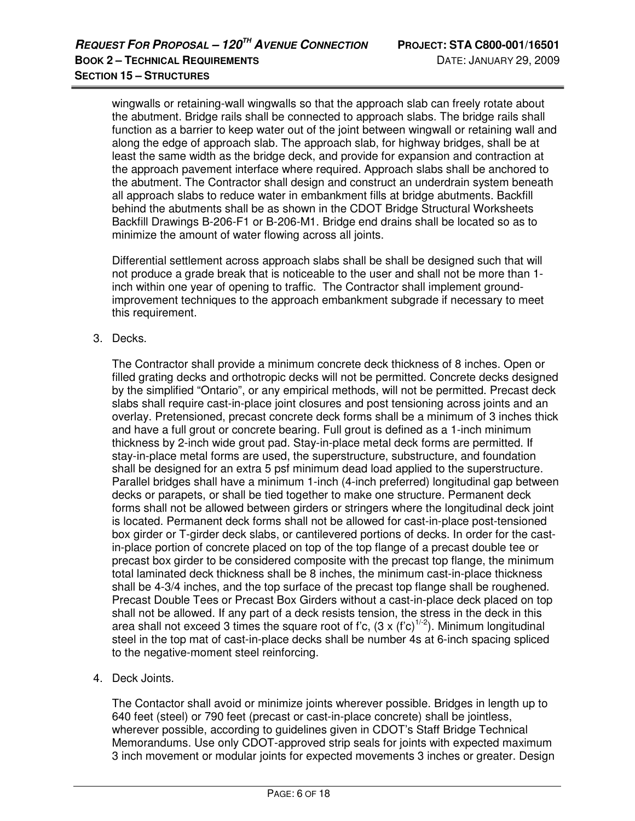wingwalls or retaining-wall wingwalls so that the approach slab can freely rotate about the abutment. Bridge rails shall be connected to approach slabs. The bridge rails shall function as a barrier to keep water out of the joint between wingwall or retaining wall and along the edge of approach slab. The approach slab, for highway bridges, shall be at least the same width as the bridge deck, and provide for expansion and contraction at the approach pavement interface where required. Approach slabs shall be anchored to the abutment. The Contractor shall design and construct an underdrain system beneath all approach slabs to reduce water in embankment fills at bridge abutments. Backfill behind the abutments shall be as shown in the CDOT Bridge Structural Worksheets Backfill Drawings B-206-F1 or B-206-M1. Bridge end drains shall be located so as to minimize the amount of water flowing across all joints.

Differential settlement across approach slabs shall be shall be designed such that will not produce a grade break that is noticeable to the user and shall not be more than 1 inch within one year of opening to traffic. The Contractor shall implement groundimprovement techniques to the approach embankment subgrade if necessary to meet this requirement.

3. Decks.

The Contractor shall provide a minimum concrete deck thickness of 8 inches. Open or filled grating decks and orthotropic decks will not be permitted. Concrete decks designed by the simplified "Ontario", or any empirical methods, will not be permitted. Precast deck slabs shall require cast-in-place joint closures and post tensioning across joints and an overlay. Pretensioned, precast concrete deck forms shall be a minimum of 3 inches thick and have a full grout or concrete bearing. Full grout is defined as a 1-inch minimum thickness by 2-inch wide grout pad. Stay-in-place metal deck forms are permitted. If stay-in-place metal forms are used, the superstructure, substructure, and foundation shall be designed for an extra 5 psf minimum dead load applied to the superstructure. Parallel bridges shall have a minimum 1-inch (4-inch preferred) longitudinal gap between decks or parapets, or shall be tied together to make one structure. Permanent deck forms shall not be allowed between girders or stringers where the longitudinal deck joint is located. Permanent deck forms shall not be allowed for cast-in-place post-tensioned box girder or T-girder deck slabs, or cantilevered portions of decks. In order for the castin-place portion of concrete placed on top of the top flange of a precast double tee or precast box girder to be considered composite with the precast top flange, the minimum total laminated deck thickness shall be 8 inches, the minimum cast-in-place thickness shall be 4-3/4 inches, and the top surface of the precast top flange shall be roughened. Precast Double Tees or Precast Box Girders without a cast-in-place deck placed on top shall not be allowed. If any part of a deck resists tension, the stress in the deck in this area shall not exceed 3 times the square root of f'c,  $(3 \times (f'c)^{1/2})$ . Minimum longitudinal steel in the top mat of cast-in-place decks shall be number 4s at 6-inch spacing spliced to the negative-moment steel reinforcing.

4. Deck Joints.

The Contactor shall avoid or minimize joints wherever possible. Bridges in length up to 640 feet (steel) or 790 feet (precast or cast-in-place concrete) shall be jointless, wherever possible, according to guidelines given in CDOT's Staff Bridge Technical Memorandums. Use only CDOT-approved strip seals for joints with expected maximum 3 inch movement or modular joints for expected movements 3 inches or greater. Design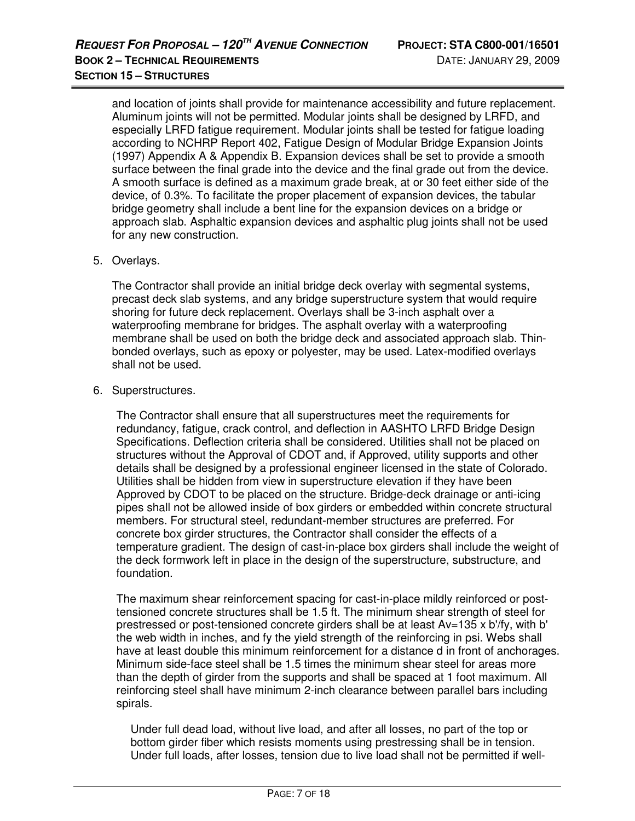and location of joints shall provide for maintenance accessibility and future replacement. Aluminum joints will not be permitted. Modular joints shall be designed by LRFD, and especially LRFD fatigue requirement. Modular joints shall be tested for fatigue loading according to NCHRP Report 402, Fatigue Design of Modular Bridge Expansion Joints (1997) Appendix A & Appendix B. Expansion devices shall be set to provide a smooth surface between the final grade into the device and the final grade out from the device. A smooth surface is defined as a maximum grade break, at or 30 feet either side of the device, of 0.3%. To facilitate the proper placement of expansion devices, the tabular bridge geometry shall include a bent line for the expansion devices on a bridge or approach slab. Asphaltic expansion devices and asphaltic plug joints shall not be used for any new construction.

#### 5. Overlays.

The Contractor shall provide an initial bridge deck overlay with segmental systems, precast deck slab systems, and any bridge superstructure system that would require shoring for future deck replacement. Overlays shall be 3-inch asphalt over a waterproofing membrane for bridges. The asphalt overlay with a waterproofing membrane shall be used on both the bridge deck and associated approach slab. Thinbonded overlays, such as epoxy or polyester, may be used. Latex-modified overlays shall not be used.

#### 6. Superstructures.

The Contractor shall ensure that all superstructures meet the requirements for redundancy, fatigue, crack control, and deflection in AASHTO LRFD Bridge Design Specifications. Deflection criteria shall be considered. Utilities shall not be placed on structures without the Approval of CDOT and, if Approved, utility supports and other details shall be designed by a professional engineer licensed in the state of Colorado. Utilities shall be hidden from view in superstructure elevation if they have been Approved by CDOT to be placed on the structure. Bridge-deck drainage or anti-icing pipes shall not be allowed inside of box girders or embedded within concrete structural members. For structural steel, redundant-member structures are preferred. For concrete box girder structures, the Contractor shall consider the effects of a temperature gradient. The design of cast-in-place box girders shall include the weight of the deck formwork left in place in the design of the superstructure, substructure, and foundation.

The maximum shear reinforcement spacing for cast-in-place mildly reinforced or posttensioned concrete structures shall be 1.5 ft. The minimum shear strength of steel for prestressed or post-tensioned concrete girders shall be at least Av=135 x b'/fy, with b' the web width in inches, and fy the yield strength of the reinforcing in psi. Webs shall have at least double this minimum reinforcement for a distance d in front of anchorages. Minimum side-face steel shall be 1.5 times the minimum shear steel for areas more than the depth of girder from the supports and shall be spaced at 1 foot maximum. All reinforcing steel shall have minimum 2-inch clearance between parallel bars including spirals.

Under full dead load, without live load, and after all losses, no part of the top or bottom girder fiber which resists moments using prestressing shall be in tension. Under full loads, after losses, tension due to live load shall not be permitted if well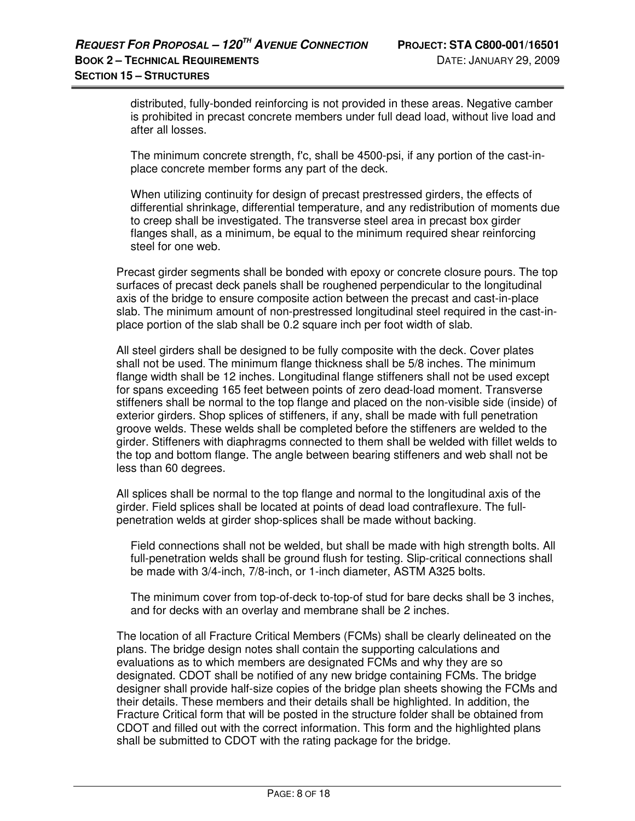distributed, fully-bonded reinforcing is not provided in these areas. Negative camber is prohibited in precast concrete members under full dead load, without live load and after all losses.

The minimum concrete strength, f'c, shall be 4500-psi, if any portion of the cast-inplace concrete member forms any part of the deck.

When utilizing continuity for design of precast prestressed girders, the effects of differential shrinkage, differential temperature, and any redistribution of moments due to creep shall be investigated. The transverse steel area in precast box girder flanges shall, as a minimum, be equal to the minimum required shear reinforcing steel for one web.

Precast girder segments shall be bonded with epoxy or concrete closure pours. The top surfaces of precast deck panels shall be roughened perpendicular to the longitudinal axis of the bridge to ensure composite action between the precast and cast-in-place slab. The minimum amount of non-prestressed longitudinal steel required in the cast-inplace portion of the slab shall be 0.2 square inch per foot width of slab.

All steel girders shall be designed to be fully composite with the deck. Cover plates shall not be used. The minimum flange thickness shall be 5/8 inches. The minimum flange width shall be 12 inches. Longitudinal flange stiffeners shall not be used except for spans exceeding 165 feet between points of zero dead-load moment. Transverse stiffeners shall be normal to the top flange and placed on the non-visible side (inside) of exterior girders. Shop splices of stiffeners, if any, shall be made with full penetration groove welds. These welds shall be completed before the stiffeners are welded to the girder. Stiffeners with diaphragms connected to them shall be welded with fillet welds to the top and bottom flange. The angle between bearing stiffeners and web shall not be less than 60 degrees.

All splices shall be normal to the top flange and normal to the longitudinal axis of the girder. Field splices shall be located at points of dead load contraflexure. The fullpenetration welds at girder shop-splices shall be made without backing.

Field connections shall not be welded, but shall be made with high strength bolts. All full-penetration welds shall be ground flush for testing. Slip-critical connections shall be made with 3/4-inch, 7/8-inch, or 1-inch diameter, ASTM A325 bolts.

The minimum cover from top-of-deck to-top-of stud for bare decks shall be 3 inches, and for decks with an overlay and membrane shall be 2 inches.

The location of all Fracture Critical Members (FCMs) shall be clearly delineated on the plans. The bridge design notes shall contain the supporting calculations and evaluations as to which members are designated FCMs and why they are so designated. CDOT shall be notified of any new bridge containing FCMs. The bridge designer shall provide half-size copies of the bridge plan sheets showing the FCMs and their details. These members and their details shall be highlighted. In addition, the Fracture Critical form that will be posted in the structure folder shall be obtained from CDOT and filled out with the correct information. This form and the highlighted plans shall be submitted to CDOT with the rating package for the bridge.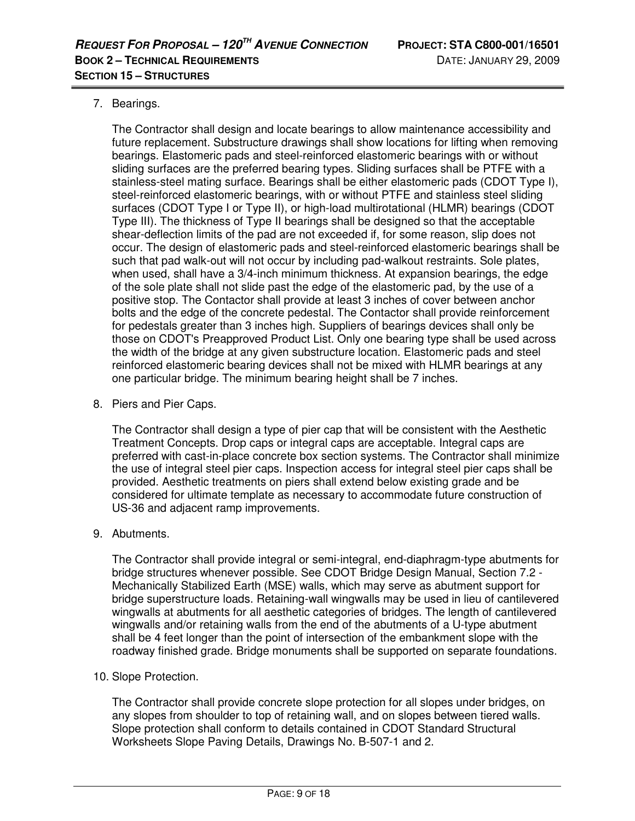### 7. Bearings.

The Contractor shall design and locate bearings to allow maintenance accessibility and future replacement. Substructure drawings shall show locations for lifting when removing bearings. Elastomeric pads and steel-reinforced elastomeric bearings with or without sliding surfaces are the preferred bearing types. Sliding surfaces shall be PTFE with a stainless-steel mating surface. Bearings shall be either elastomeric pads (CDOT Type I), steel-reinforced elastomeric bearings, with or without PTFE and stainless steel sliding surfaces (CDOT Type I or Type II), or high-load multirotational (HLMR) bearings (CDOT Type III). The thickness of Type II bearings shall be designed so that the acceptable shear-deflection limits of the pad are not exceeded if, for some reason, slip does not occur. The design of elastomeric pads and steel-reinforced elastomeric bearings shall be such that pad walk-out will not occur by including pad-walkout restraints. Sole plates, when used, shall have a 3/4-inch minimum thickness. At expansion bearings, the edge of the sole plate shall not slide past the edge of the elastomeric pad, by the use of a positive stop. The Contactor shall provide at least 3 inches of cover between anchor bolts and the edge of the concrete pedestal. The Contactor shall provide reinforcement for pedestals greater than 3 inches high. Suppliers of bearings devices shall only be those on CDOT's Preapproved Product List. Only one bearing type shall be used across the width of the bridge at any given substructure location. Elastomeric pads and steel reinforced elastomeric bearing devices shall not be mixed with HLMR bearings at any one particular bridge. The minimum bearing height shall be 7 inches.

8. Piers and Pier Caps.

The Contractor shall design a type of pier cap that will be consistent with the Aesthetic Treatment Concepts. Drop caps or integral caps are acceptable. Integral caps are preferred with cast-in-place concrete box section systems. The Contractor shall minimize the use of integral steel pier caps. Inspection access for integral steel pier caps shall be provided. Aesthetic treatments on piers shall extend below existing grade and be considered for ultimate template as necessary to accommodate future construction of US-36 and adjacent ramp improvements.

9. Abutments.

The Contractor shall provide integral or semi-integral, end-diaphragm-type abutments for bridge structures whenever possible. See CDOT Bridge Design Manual, Section 7.2 - Mechanically Stabilized Earth (MSE) walls, which may serve as abutment support for bridge superstructure loads. Retaining-wall wingwalls may be used in lieu of cantilevered wingwalls at abutments for all aesthetic categories of bridges. The length of cantilevered wingwalls and/or retaining walls from the end of the abutments of a U-type abutment shall be 4 feet longer than the point of intersection of the embankment slope with the roadway finished grade. Bridge monuments shall be supported on separate foundations.

10. Slope Protection.

The Contractor shall provide concrete slope protection for all slopes under bridges, on any slopes from shoulder to top of retaining wall, and on slopes between tiered walls. Slope protection shall conform to details contained in CDOT Standard Structural Worksheets Slope Paving Details, Drawings No. B-507-1 and 2.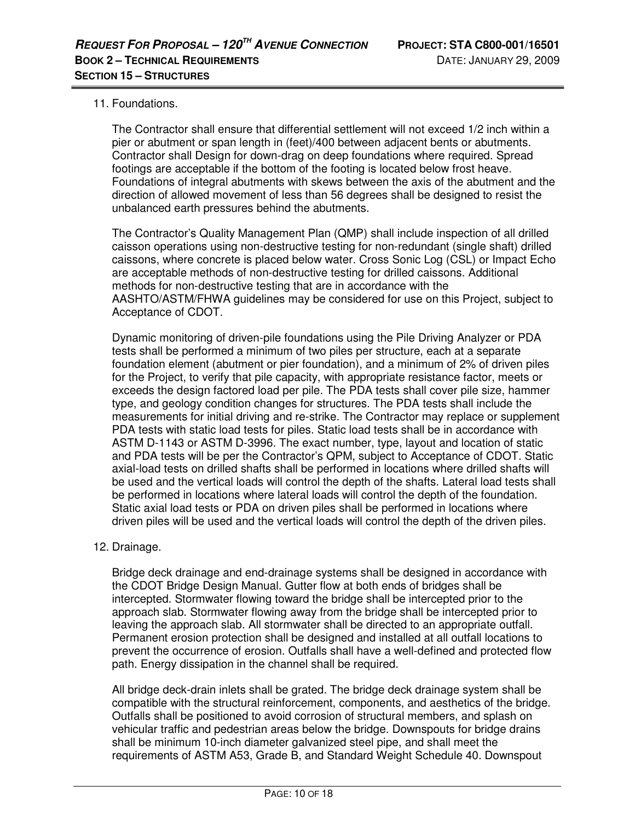#### 11. Foundations.

The Contractor shall ensure that differential settlement will not exceed 1/2 inch within a pier or abutment or span length in (feet)/400 between adjacent bents or abutments. Contractor shall Design for down-drag on deep foundations where required. Spread footings are acceptable if the bottom of the footing is located below frost heave. Foundations of integral abutments with skews between the axis of the abutment and the direction of allowed movement of less than 56 degrees shall be designed to resist the unbalanced earth pressures behind the abutments.

The Contractor's Quality Management Plan (QMP) shall include inspection of all drilled caisson operations using non-destructive testing for non-redundant (single shaft) drilled caissons, where concrete is placed below water. Cross Sonic Log (CSL) or Impact Echo are acceptable methods of non-destructive testing for drilled caissons. Additional methods for non-destructive testing that are in accordance with the AASHTO/ASTM/FHWA guidelines may be considered for use on this Project, subject to Acceptance of CDOT.

Dynamic monitoring of driven-pile foundations using the Pile Driving Analyzer or PDA tests shall be performed a minimum of two piles per structure, each at a separate foundation element (abutment or pier foundation), and a minimum of 2% of driven piles for the Project, to verify that pile capacity, with appropriate resistance factor, meets or exceeds the design factored load per pile. The PDA tests shall cover pile size, hammer type, and geology condition changes for structures. The PDA tests shall include the measurements for initial driving and re-strike. The Contractor may replace or supplement PDA tests with static load tests for piles. Static load tests shall be in accordance with ASTM D-1143 or ASTM D-3996. The exact number, type, layout and location of static and PDA tests will be per the Contractor's QPM, subject to Acceptance of CDOT. Static axial-load tests on drilled shafts shall be performed in locations where drilled shafts will be used and the vertical loads will control the depth of the shafts. Lateral load tests shall be performed in locations where lateral loads will control the depth of the foundation. Static axial load tests or PDA on driven piles shall be performed in locations where driven piles will be used and the vertical loads will control the depth of the driven piles.

#### 12. Drainage.

Bridge deck drainage and end-drainage systems shall be designed in accordance with the CDOT Bridge Design Manual. Gutter flow at both ends of bridges shall be intercepted. Stormwater flowing toward the bridge shall be intercepted prior to the approach slab. Stormwater flowing away from the bridge shall be intercepted prior to leaving the approach slab. All stormwater shall be directed to an appropriate outfall. Permanent erosion protection shall be designed and installed at all outfall locations to prevent the occurrence of erosion. Outfalls shall have a well-defined and protected flow path. Energy dissipation in the channel shall be required.

All bridge deck-drain inlets shall be grated. The bridge deck drainage system shall be compatible with the structural reinforcement, components, and aesthetics of the bridge. Outfalls shall be positioned to avoid corrosion of structural members, and splash on vehicular traffic and pedestrian areas below the bridge. Downspouts for bridge drains shall be minimum 10-inch diameter galvanized steel pipe, and shall meet the requirements of ASTM A53, Grade B, and Standard Weight Schedule 40. Downspout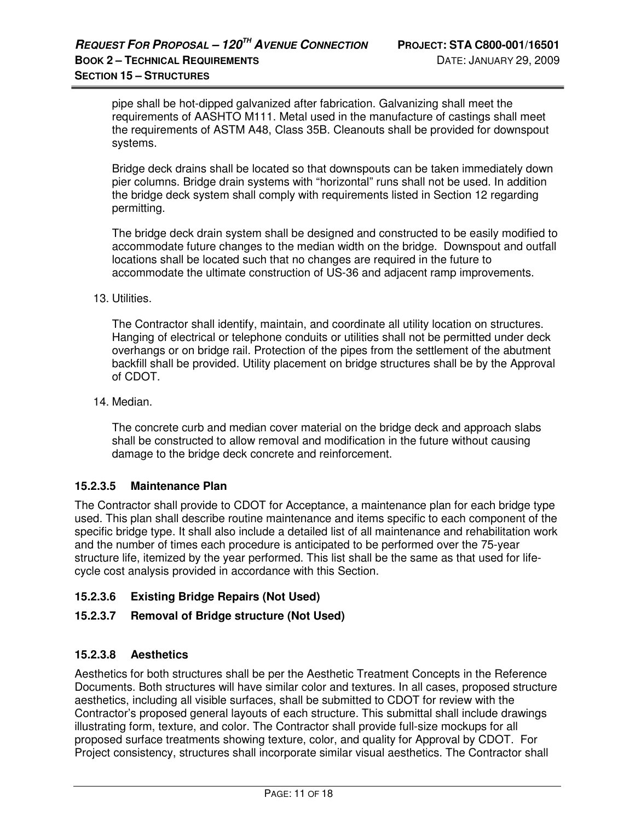pipe shall be hot-dipped galvanized after fabrication. Galvanizing shall meet the requirements of AASHTO M111. Metal used in the manufacture of castings shall meet the requirements of ASTM A48, Class 35B. Cleanouts shall be provided for downspout systems.

Bridge deck drains shall be located so that downspouts can be taken immediately down pier columns. Bridge drain systems with "horizontal" runs shall not be used. In addition the bridge deck system shall comply with requirements listed in Section 12 regarding permitting.

The bridge deck drain system shall be designed and constructed to be easily modified to accommodate future changes to the median width on the bridge. Downspout and outfall locations shall be located such that no changes are required in the future to accommodate the ultimate construction of US-36 and adjacent ramp improvements.

#### 13. Utilities.

The Contractor shall identify, maintain, and coordinate all utility location on structures. Hanging of electrical or telephone conduits or utilities shall not be permitted under deck overhangs or on bridge rail. Protection of the pipes from the settlement of the abutment backfill shall be provided. Utility placement on bridge structures shall be by the Approval of CDOT.

#### 14. Median.

The concrete curb and median cover material on the bridge deck and approach slabs shall be constructed to allow removal and modification in the future without causing damage to the bridge deck concrete and reinforcement.

#### **15.2.3.5 Maintenance Plan**

The Contractor shall provide to CDOT for Acceptance, a maintenance plan for each bridge type used. This plan shall describe routine maintenance and items specific to each component of the specific bridge type. It shall also include a detailed list of all maintenance and rehabilitation work and the number of times each procedure is anticipated to be performed over the 75-year structure life, itemized by the year performed. This list shall be the same as that used for lifecycle cost analysis provided in accordance with this Section.

## **15.2.3.6 Existing Bridge Repairs (Not Used)**

#### **15.2.3.7 Removal of Bridge structure (Not Used)**

#### **15.2.3.8 Aesthetics**

Aesthetics for both structures shall be per the Aesthetic Treatment Concepts in the Reference Documents. Both structures will have similar color and textures. In all cases, proposed structure aesthetics, including all visible surfaces, shall be submitted to CDOT for review with the Contractor's proposed general layouts of each structure. This submittal shall include drawings illustrating form, texture, and color. The Contractor shall provide full-size mockups for all proposed surface treatments showing texture, color, and quality for Approval by CDOT. For Project consistency, structures shall incorporate similar visual aesthetics. The Contractor shall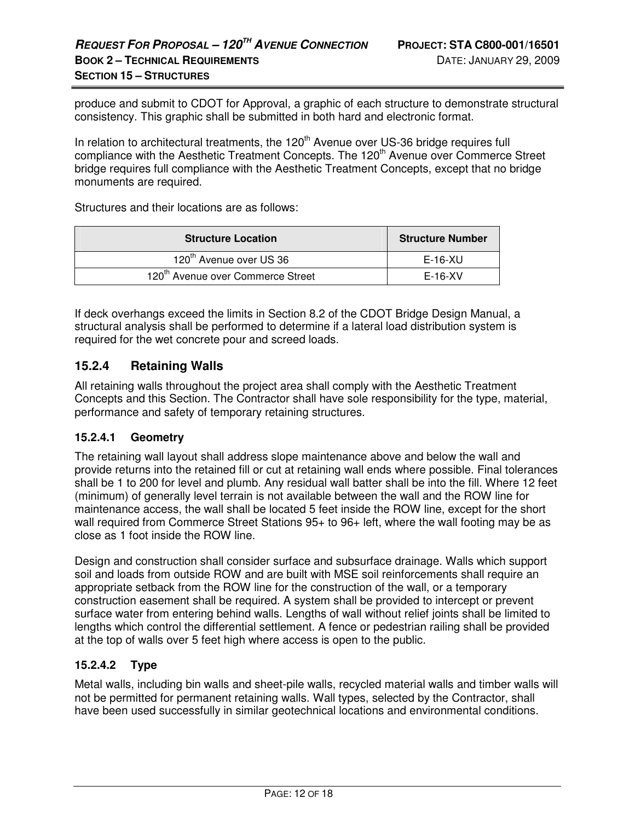produce and submit to CDOT for Approval, a graphic of each structure to demonstrate structural consistency. This graphic shall be submitted in both hard and electronic format.

In relation to architectural treatments, the  $120<sup>th</sup>$  Avenue over US-36 bridge requires full compliance with the Aesthetic Treatment Concepts. The 120<sup>th</sup> Avenue over Commerce Street bridge requires full compliance with the Aesthetic Treatment Concepts, except that no bridge monuments are required.

Structures and their locations are as follows:

| <b>Structure Location</b>                     | <b>Structure Number</b> |
|-----------------------------------------------|-------------------------|
| 120 <sup>th</sup> Avenue over US 36           | E-16-XU                 |
| 120 <sup>th</sup> Avenue over Commerce Street | $E-16-XV$               |

If deck overhangs exceed the limits in Section 8.2 of the CDOT Bridge Design Manual, a structural analysis shall be performed to determine if a lateral load distribution system is required for the wet concrete pour and screed loads.

## **15.2.4 Retaining Walls**

All retaining walls throughout the project area shall comply with the Aesthetic Treatment Concepts and this Section. The Contractor shall have sole responsibility for the type, material, performance and safety of temporary retaining structures.

#### **15.2.4.1 Geometry**

The retaining wall layout shall address slope maintenance above and below the wall and provide returns into the retained fill or cut at retaining wall ends where possible. Final tolerances shall be 1 to 200 for level and plumb. Any residual wall batter shall be into the fill. Where 12 feet (minimum) of generally level terrain is not available between the wall and the ROW line for maintenance access, the wall shall be located 5 feet inside the ROW line, except for the short wall required from Commerce Street Stations 95+ to 96+ left, where the wall footing may be as close as 1 foot inside the ROW line.

Design and construction shall consider surface and subsurface drainage. Walls which support soil and loads from outside ROW and are built with MSE soil reinforcements shall require an appropriate setback from the ROW line for the construction of the wall, or a temporary construction easement shall be required. A system shall be provided to intercept or prevent surface water from entering behind walls. Lengths of wall without relief joints shall be limited to lengths which control the differential settlement. A fence or pedestrian railing shall be provided at the top of walls over 5 feet high where access is open to the public.

## **15.2.4.2 Type**

Metal walls, including bin walls and sheet-pile walls, recycled material walls and timber walls will not be permitted for permanent retaining walls. Wall types, selected by the Contractor, shall have been used successfully in similar geotechnical locations and environmental conditions.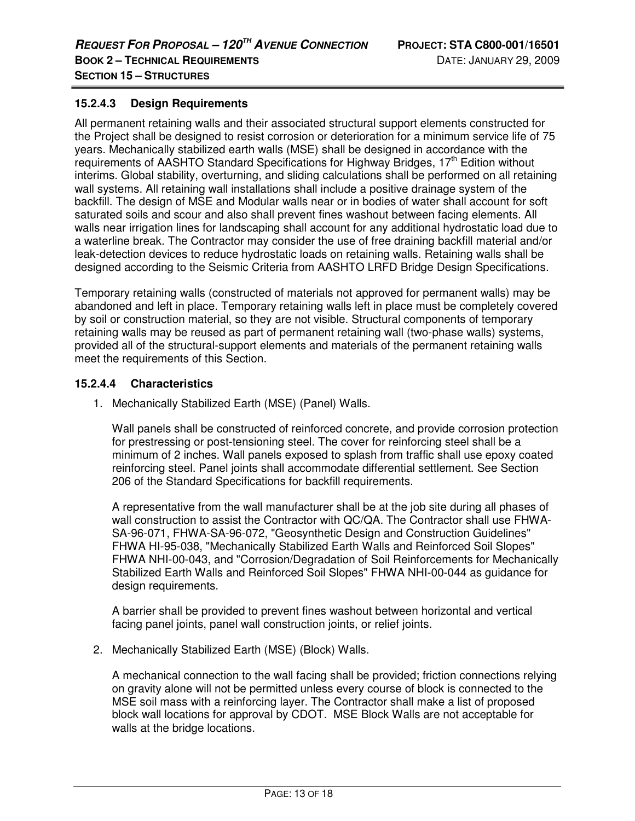#### **15.2.4.3 Design Requirements**

All permanent retaining walls and their associated structural support elements constructed for the Project shall be designed to resist corrosion or deterioration for a minimum service life of 75 years. Mechanically stabilized earth walls (MSE) shall be designed in accordance with the requirements of AASHTO Standard Specifications for Highway Bridges, 17<sup>th</sup> Edition without interims. Global stability, overturning, and sliding calculations shall be performed on all retaining wall systems. All retaining wall installations shall include a positive drainage system of the backfill. The design of MSE and Modular walls near or in bodies of water shall account for soft saturated soils and scour and also shall prevent fines washout between facing elements. All walls near irrigation lines for landscaping shall account for any additional hydrostatic load due to a waterline break. The Contractor may consider the use of free draining backfill material and/or leak-detection devices to reduce hydrostatic loads on retaining walls. Retaining walls shall be designed according to the Seismic Criteria from AASHTO LRFD Bridge Design Specifications.

Temporary retaining walls (constructed of materials not approved for permanent walls) may be abandoned and left in place. Temporary retaining walls left in place must be completely covered by soil or construction material, so they are not visible. Structural components of temporary retaining walls may be reused as part of permanent retaining wall (two-phase walls) systems, provided all of the structural-support elements and materials of the permanent retaining walls meet the requirements of this Section.

#### **15.2.4.4 Characteristics**

1. Mechanically Stabilized Earth (MSE) (Panel) Walls.

Wall panels shall be constructed of reinforced concrete, and provide corrosion protection for prestressing or post-tensioning steel. The cover for reinforcing steel shall be a minimum of 2 inches. Wall panels exposed to splash from traffic shall use epoxy coated reinforcing steel. Panel joints shall accommodate differential settlement. See Section 206 of the Standard Specifications for backfill requirements.

A representative from the wall manufacturer shall be at the job site during all phases of wall construction to assist the Contractor with QC/QA. The Contractor shall use FHWA-SA-96-071, FHWA-SA-96-072, "Geosynthetic Design and Construction Guidelines" FHWA HI-95-038, "Mechanically Stabilized Earth Walls and Reinforced Soil Slopes" FHWA NHI-00-043, and "Corrosion/Degradation of Soil Reinforcements for Mechanically Stabilized Earth Walls and Reinforced Soil Slopes" FHWA NHI-00-044 as guidance for design requirements.

A barrier shall be provided to prevent fines washout between horizontal and vertical facing panel joints, panel wall construction joints, or relief joints.

2. Mechanically Stabilized Earth (MSE) (Block) Walls.

A mechanical connection to the wall facing shall be provided; friction connections relying on gravity alone will not be permitted unless every course of block is connected to the MSE soil mass with a reinforcing layer. The Contractor shall make a list of proposed block wall locations for approval by CDOT. MSE Block Walls are not acceptable for walls at the bridge locations.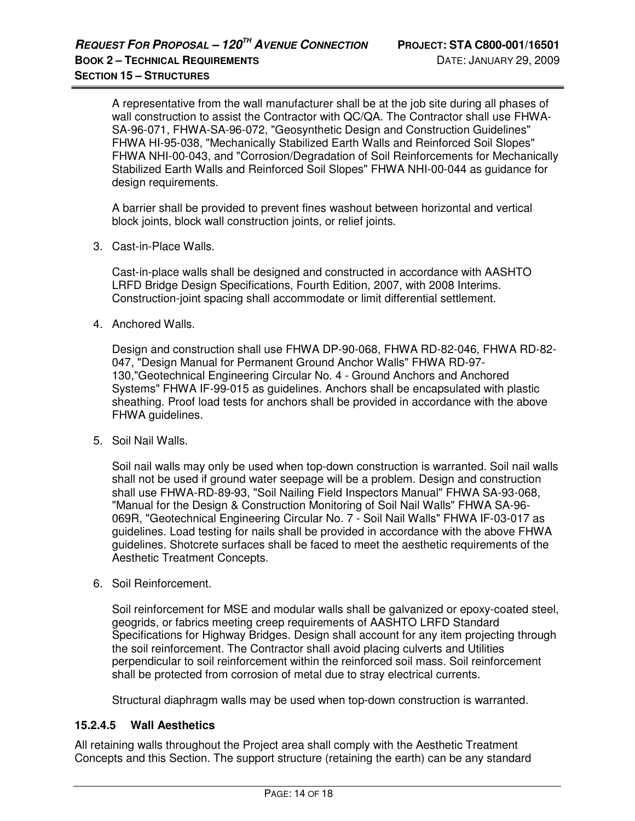A representative from the wall manufacturer shall be at the job site during all phases of wall construction to assist the Contractor with QC/QA. The Contractor shall use FHWA-SA-96-071, FHWA-SA-96-072, "Geosynthetic Design and Construction Guidelines" FHWA HI-95-038, "Mechanically Stabilized Earth Walls and Reinforced Soil Slopes" FHWA NHI-00-043, and "Corrosion/Degradation of Soil Reinforcements for Mechanically Stabilized Earth Walls and Reinforced Soil Slopes" FHWA NHI-00-044 as guidance for design requirements.

A barrier shall be provided to prevent fines washout between horizontal and vertical block joints, block wall construction joints, or relief joints.

3. Cast-in-Place Walls.

Cast-in-place walls shall be designed and constructed in accordance with AASHTO LRFD Bridge Design Specifications, Fourth Edition, 2007, with 2008 Interims. Construction-joint spacing shall accommodate or limit differential settlement.

4. Anchored Walls.

Design and construction shall use FHWA DP-90-068, FHWA RD-82-046, FHWA RD-82- 047, "Design Manual for Permanent Ground Anchor Walls" FHWA RD-97- 130,"Geotechnical Engineering Circular No. 4 - Ground Anchors and Anchored Systems" FHWA IF-99-015 as guidelines. Anchors shall be encapsulated with plastic sheathing. Proof load tests for anchors shall be provided in accordance with the above FHWA guidelines.

5. Soil Nail Walls.

Soil nail walls may only be used when top-down construction is warranted. Soil nail walls shall not be used if ground water seepage will be a problem. Design and construction shall use FHWA-RD-89-93, "Soil Nailing Field Inspectors Manual" FHWA SA-93-068, "Manual for the Design & Construction Monitoring of Soil Nail Walls" FHWA SA-96- 069R, "Geotechnical Engineering Circular No. 7 - Soil Nail Walls" FHWA IF-03-017 as guidelines. Load testing for nails shall be provided in accordance with the above FHWA guidelines. Shotcrete surfaces shall be faced to meet the aesthetic requirements of the Aesthetic Treatment Concepts.

6. Soil Reinforcement.

Soil reinforcement for MSE and modular walls shall be galvanized or epoxy-coated steel, geogrids, or fabrics meeting creep requirements of AASHTO LRFD Standard Specifications for Highway Bridges. Design shall account for any item projecting through the soil reinforcement. The Contractor shall avoid placing culverts and Utilities perpendicular to soil reinforcement within the reinforced soil mass. Soil reinforcement shall be protected from corrosion of metal due to stray electrical currents.

Structural diaphragm walls may be used when top-down construction is warranted.

#### **15.2.4.5 Wall Aesthetics**

All retaining walls throughout the Project area shall comply with the Aesthetic Treatment Concepts and this Section. The support structure (retaining the earth) can be any standard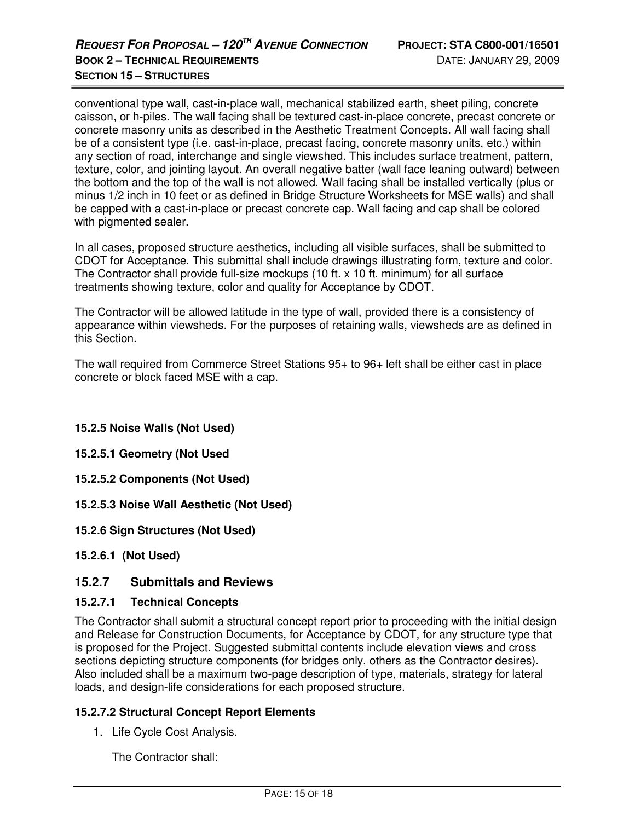conventional type wall, cast-in-place wall, mechanical stabilized earth, sheet piling, concrete caisson, or h-piles. The wall facing shall be textured cast-in-place concrete, precast concrete or concrete masonry units as described in the Aesthetic Treatment Concepts. All wall facing shall be of a consistent type (i.e. cast-in-place, precast facing, concrete masonry units, etc.) within any section of road, interchange and single viewshed. This includes surface treatment, pattern, texture, color, and jointing layout. An overall negative batter (wall face leaning outward) between the bottom and the top of the wall is not allowed. Wall facing shall be installed vertically (plus or minus 1/2 inch in 10 feet or as defined in Bridge Structure Worksheets for MSE walls) and shall be capped with a cast-in-place or precast concrete cap. Wall facing and cap shall be colored with pigmented sealer.

In all cases, proposed structure aesthetics, including all visible surfaces, shall be submitted to CDOT for Acceptance. This submittal shall include drawings illustrating form, texture and color. The Contractor shall provide full-size mockups (10 ft. x 10 ft. minimum) for all surface treatments showing texture, color and quality for Acceptance by CDOT.

The Contractor will be allowed latitude in the type of wall, provided there is a consistency of appearance within viewsheds. For the purposes of retaining walls, viewsheds are as defined in this Section.

The wall required from Commerce Street Stations 95+ to 96+ left shall be either cast in place concrete or block faced MSE with a cap.

## **15.2.5 Noise Walls (Not Used)**

- **15.2.5.1 Geometry (Not Used**
- **15.2.5.2 Components (Not Used)**
- **15.2.5.3 Noise Wall Aesthetic (Not Used)**
- **15.2.6 Sign Structures (Not Used)**
- **15.2.6.1 (Not Used)**

#### **15.2.7 Submittals and Reviews**

#### **15.2.7.1 Technical Concepts**

The Contractor shall submit a structural concept report prior to proceeding with the initial design and Release for Construction Documents, for Acceptance by CDOT, for any structure type that is proposed for the Project. Suggested submittal contents include elevation views and cross sections depicting structure components (for bridges only, others as the Contractor desires). Also included shall be a maximum two-page description of type, materials, strategy for lateral loads, and design-life considerations for each proposed structure.

#### **15.2.7.2 Structural Concept Report Elements**

1. Life Cycle Cost Analysis.

The Contractor shall: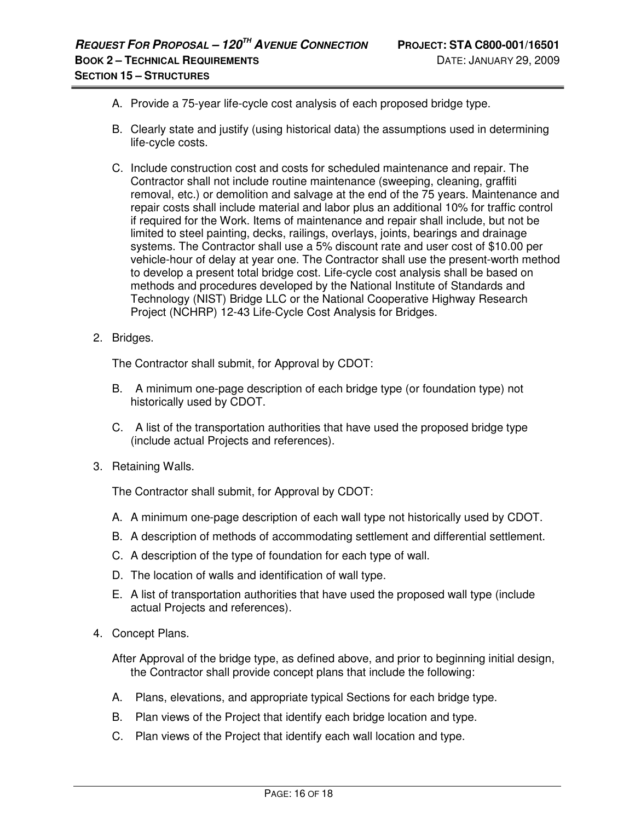- A. Provide a 75-year life-cycle cost analysis of each proposed bridge type.
- B. Clearly state and justify (using historical data) the assumptions used in determining life-cycle costs.
- C. Include construction cost and costs for scheduled maintenance and repair. The Contractor shall not include routine maintenance (sweeping, cleaning, graffiti removal, etc.) or demolition and salvage at the end of the 75 years. Maintenance and repair costs shall include material and labor plus an additional 10% for traffic control if required for the Work. Items of maintenance and repair shall include, but not be limited to steel painting, decks, railings, overlays, joints, bearings and drainage systems. The Contractor shall use a 5% discount rate and user cost of \$10.00 per vehicle-hour of delay at year one. The Contractor shall use the present-worth method to develop a present total bridge cost. Life-cycle cost analysis shall be based on methods and procedures developed by the National Institute of Standards and Technology (NIST) Bridge LLC or the National Cooperative Highway Research Project (NCHRP) 12-43 Life-Cycle Cost Analysis for Bridges.
- 2. Bridges.

The Contractor shall submit, for Approval by CDOT:

- B. A minimum one-page description of each bridge type (or foundation type) not historically used by CDOT.
- C. A list of the transportation authorities that have used the proposed bridge type (include actual Projects and references).
- 3. Retaining Walls.

The Contractor shall submit, for Approval by CDOT:

- A. A minimum one-page description of each wall type not historically used by CDOT.
- B. A description of methods of accommodating settlement and differential settlement.
- C. A description of the type of foundation for each type of wall.
- D. The location of walls and identification of wall type.
- E. A list of transportation authorities that have used the proposed wall type (include actual Projects and references).
- 4. Concept Plans.

After Approval of the bridge type, as defined above, and prior to beginning initial design, the Contractor shall provide concept plans that include the following:

- A. Plans, elevations, and appropriate typical Sections for each bridge type.
- B. Plan views of the Project that identify each bridge location and type.
- C. Plan views of the Project that identify each wall location and type.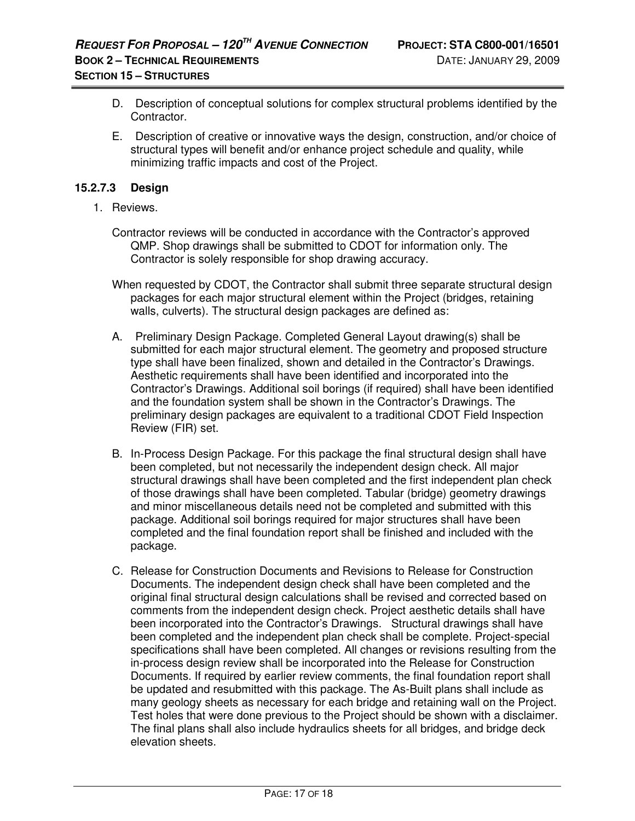- D. Description of conceptual solutions for complex structural problems identified by the Contractor.
- E. Description of creative or innovative ways the design, construction, and/or choice of structural types will benefit and/or enhance project schedule and quality, while minimizing traffic impacts and cost of the Project.

#### **15.2.7.3 Design**

- 1. Reviews.
	- Contractor reviews will be conducted in accordance with the Contractor's approved QMP. Shop drawings shall be submitted to CDOT for information only. The Contractor is solely responsible for shop drawing accuracy.
	- When requested by CDOT, the Contractor shall submit three separate structural design packages for each major structural element within the Project (bridges, retaining walls, culverts). The structural design packages are defined as:
	- A. Preliminary Design Package. Completed General Layout drawing(s) shall be submitted for each major structural element. The geometry and proposed structure type shall have been finalized, shown and detailed in the Contractor's Drawings. Aesthetic requirements shall have been identified and incorporated into the Contractor's Drawings. Additional soil borings (if required) shall have been identified and the foundation system shall be shown in the Contractor's Drawings. The preliminary design packages are equivalent to a traditional CDOT Field Inspection Review (FIR) set.
	- B. In-Process Design Package. For this package the final structural design shall have been completed, but not necessarily the independent design check. All major structural drawings shall have been completed and the first independent plan check of those drawings shall have been completed. Tabular (bridge) geometry drawings and minor miscellaneous details need not be completed and submitted with this package. Additional soil borings required for major structures shall have been completed and the final foundation report shall be finished and included with the package.
	- C. Release for Construction Documents and Revisions to Release for Construction Documents. The independent design check shall have been completed and the original final structural design calculations shall be revised and corrected based on comments from the independent design check. Project aesthetic details shall have been incorporated into the Contractor's Drawings. Structural drawings shall have been completed and the independent plan check shall be complete. Project-special specifications shall have been completed. All changes or revisions resulting from the in-process design review shall be incorporated into the Release for Construction Documents. If required by earlier review comments, the final foundation report shall be updated and resubmitted with this package. The As-Built plans shall include as many geology sheets as necessary for each bridge and retaining wall on the Project. Test holes that were done previous to the Project should be shown with a disclaimer. The final plans shall also include hydraulics sheets for all bridges, and bridge deck elevation sheets.